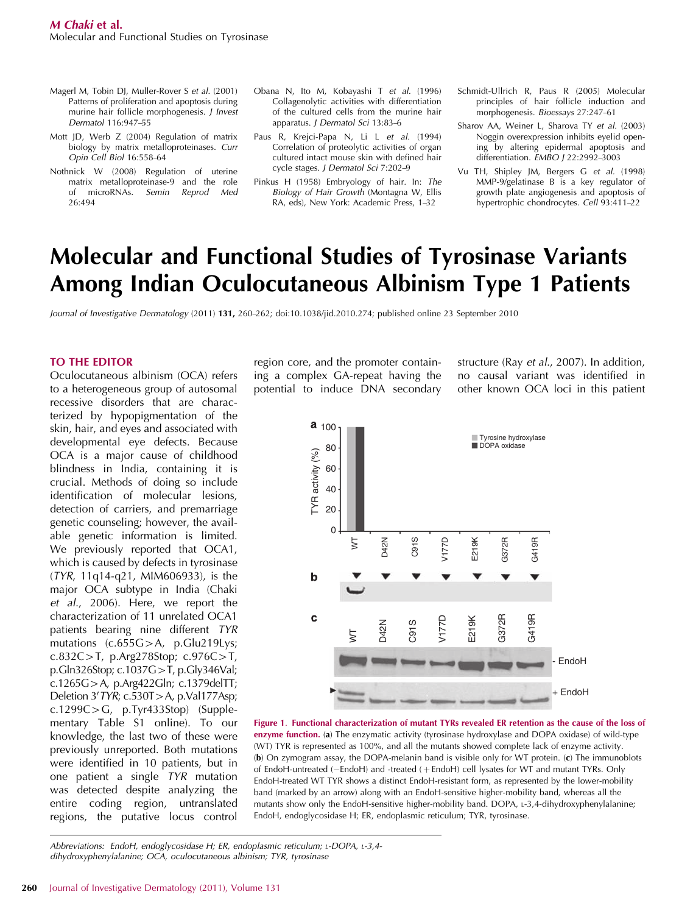- Magerl M, Tobin DJ, Muller-Rover S *et al.* (2001) Patterns of proliferation and apoptosis during murine hair follicle morphogenesis. *J Invest Dermatol* 116:947–55
- Mott JD, Werb Z (2004) Regulation of matrix biology by matrix metalloproteinases. *Curr Opin Cell Biol* 16:558–64
- Nothnick W (2008) Regulation of uterine matrix metalloproteinase-9 and the role of microRNAs. *Semin Reprod Med* 26:494
- Obana N, Ito M, Kobayashi T *et al.* (1996) Collagenolytic activities with differentiation of the cultured cells from the murine hair apparatus. *J Dermatol Sci* 13:83–6
- Paus R, Krejci-Papa N, Li L *et al.* (1994) Correlation of proteolytic activities of organ cultured intact mouse skin with defined hair cycle stages. *J Dermatol Sci* 7:202–9
- Pinkus H (1958) Embryology of hair. In: *The Biology of Hair Growth* (Montagna W, Ellis RA, eds), New York: Academic Press, 1–32
- Schmidt-Ullrich R, Paus R (2005) Molecular principles of hair follicle induction and morphogenesis. *Bioessays* 27:247–61
- Sharov AA, Weiner L, Sharova TY *et al.* (2003) Noggin overexpression inhibits eyelid opening by altering epidermal apoptosis and differentiation. *EMBO J* 22:2992–3003
- Vu TH, Shipley JM, Bergers G *et al.* (1998) MMP-9/gelatinase B is a key regulator of growth plate angiogenesis and apoptosis of hypertrophic chondrocytes. *Cell* 93:411–22

# Molecular and Functional Studies of Tyrosinase Variants Among Indian Oculocutaneous Albinism Type 1 Patients

*Journal of Investigative Dermatology* (2011) 131, 260–262; doi:10.1038/jid.2010.274; published online 23 September 2010

## TO THE EDITOR

Oculocutaneous albinism (OCA) refers to a heterogeneous group of autosomal recessive disorders that are characterized by hypopigmentation of the skin, hair, and eyes and associated with developmental eye defects. Because OCA is a major cause of childhood blindness in India, containing it is crucial. Methods of doing so include identification of molecular lesions, detection of carriers, and premarriage genetic counseling; however, the available genetic information is limited. We previously reported that OCA1, which is caused by defects in tyrosinase (*TYR*, 11q14-q21, MIM606933), is the major OCA subtype in India (Chaki *et al*., 2006). Here, we report the characterization of 11 unrelated OCA1 patients bearing nine different *TYR* mutations  $(c.655G>A, p.Glu219Lys;$ c.832C > T, p.Arg278Stop; c.976C > T, p.Gln326Stop; c.1037G > T, p.Gly346Val; c.1265G > A, p.Arg422Gln; c.1379delTT; Deletion 3'*TYR*; c.530T > A, p.Val177Asp;  $c.1299C > G$ , p.Tyr433Stop) (Supplementary Table S1 online). To our knowledge, the last two of these were previously unreported. Both mutations were identified in 10 patients, but in one patient a single *TYR* mutation was detected despite analyzing the entire coding region, untranslated regions, the putative locus control

region core, and the promoter containing a complex GA-repeat having the potential to induce DNA secondary

structure (Ray *et al*., 2007). In addition, no causal variant was identified in other known OCA loci in this patient





*Abbreviations: EndoH, endoglycosidase H; ER, endoplasmic reticulum; <sup>L</sup>-DOPA, <sup>L</sup>-3,4 dihydroxyphenylalanine; OCA, oculocutaneous albinism; TYR, tyrosinase*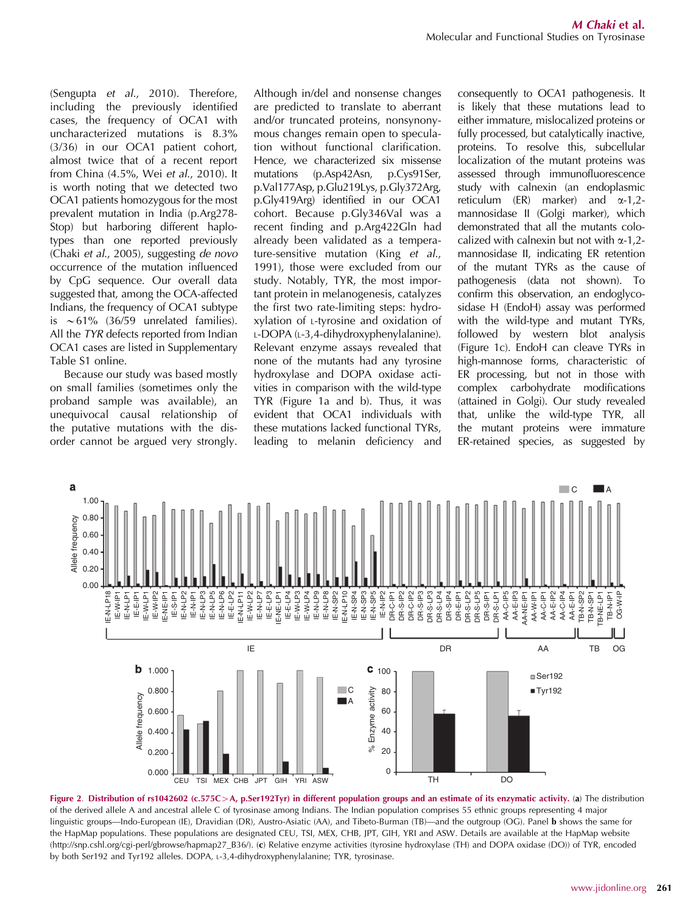(Sengupta *et al*., 2010). Therefore, including the previously identified cases, the frequency of OCA1 with uncharacterized mutations is 8.3% (3/36) in our OCA1 patient cohort, almost twice that of a recent report from China (4.5%, Wei *et al*., 2010). It is worth noting that we detected two OCA1 patients homozygous for the most prevalent mutation in India (p.Arg278- Stop) but harboring different haplotypes than one reported previously (Chaki *et al*., 2005), suggesting *de novo* occurrence of the mutation influenced by CpG sequence. Our overall data suggested that, among the OCA-affected Indians, the frequency of OCA1 subtype is  $\sim$  61% (36/59 unrelated families). All the *TYR* defects reported from Indian OCA1 cases are listed in Supplementary Table S1 online.

Because our study was based mostly on small families (sometimes only the proband sample was available), an unequivocal causal relationship of the putative mutations with the disorder cannot be argued very strongly.

Although in/del and nonsense changes are predicted to translate to aberrant and/or truncated proteins, nonsynonymous changes remain open to speculation without functional clarification. Hence, we characterized six missense mutations (p.Asp42Asn, p.Cys91Ser, p.Val177Asp, p.Glu219Lys, p.Gly372Arg, p.Gly419Arg) identified in our OCA1 cohort. Because p.Gly346Val was a recent finding and p.Arg422Gln had already been validated as a temperature-sensitive mutation (King *et al*., 1991), those were excluded from our study. Notably, TYR, the most important protein in melanogenesis, catalyzes the first two rate-limiting steps: hydroxylation of <sup>L</sup>-tyrosine and oxidation of <sup>L</sup>-DOPA (L-3,4-dihydroxyphenylalanine). Relevant enzyme assays revealed that none of the mutants had any tyrosine hydroxylase and DOPA oxidase activities in comparison with the wild-type TYR (Figure 1a and b). Thus, it was evident that OCA1 individuals with these mutations lacked functional TYRs, leading to melanin deficiency and

consequently to OCA1 pathogenesis. It is likely that these mutations lead to either immature, mislocalized proteins or fully processed, but catalytically inactive, proteins. To resolve this, subcellular localization of the mutant proteins was assessed through immunofluorescence study with calnexin (an endoplasmic reticulum (ER) marker) and  $\alpha$ -1,2mannosidase II (Golgi marker), which demonstrated that all the mutants colocalized with calnexin but not with  $\alpha$ -1,2mannosidase II, indicating ER retention of the mutant TYRs as the cause of pathogenesis (data not shown). To confirm this observation, an endoglycosidase H (EndoH) assay was performed with the wild-type and mutant TYRs, followed by western blot analysis (Figure 1c). EndoH can cleave TYRs in high-mannose forms, characteristic of ER processing, but not in those with complex carbohydrate modifications (attained in Golgi). Our study revealed that, unlike the wild-type TYR, all the mutant proteins were immature ER-retained species, as suggested by



Figure 2. Distribution of rs1042602 (c.575C>A, p.Ser192Tyr) in different population groups and an estimate of its enzymatic activity. (a) The distribution of the derived allele A and ancestral allele C of tyrosinase among Indians. The Indian population comprises 55 ethnic groups representing 4 major linguistic groups—Indo-European (IE), Dravidian (DR), Austro-Asiatic (AA), and Tibeto-Burman (TB)—and the outgroup (OG). Panel **b** shows the same for the HapMap populations. These populations are designated CEU, TSI, MEX, CHB, JPT, GIH, YRI and ASW. Details are available at the HapMap website (http://snp.cshl.org/cgi-perl/gbrowse/hapmap27\_B36/). (c) Relative enzyme activities (tyrosine hydroxylase (TH) and DOPA oxidase (DO)) of TYR, encoded by both Ser192 and Tyr192 alleles. DOPA, <sup>L</sup>-3,4-dihydroxyphenylalanine; TYR, tyrosinase.